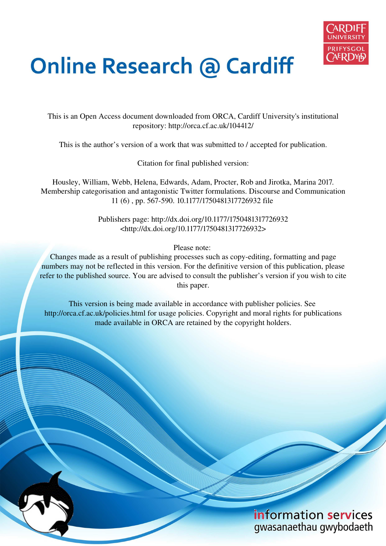

# **Online Research @ Cardiff**

This is an Open Access document downloaded from ORCA, Cardiff University's institutional repository: http://orca.cf.ac.uk/104412/

This is the author's version of a work that was submitted to / accepted for publication.

Citation for final published version:

Housley, William, Webb, Helena, Edwards, Adam, Procter, Rob and Jirotka, Marina 2017. Membership categorisation and antagonistic Twitter formulations. Discourse and Communication 11 (6) , pp. 567-590. 10.1177/1750481317726932 file

> Publishers page: http://dx.doi.org/10.1177/1750481317726932 <http://dx.doi.org/10.1177/1750481317726932>

> > Please note:

Changes made as a result of publishing processes such as copy-editing, formatting and page numbers may not be reflected in this version. For the definitive version of this publication, please refer to the published source. You are advised to consult the publisher's version if you wish to cite this paper.

This version is being made available in accordance with publisher policies. See http://orca.cf.ac.uk/policies.html for usage policies. Copyright and moral rights for publications made available in ORCA are retained by the copyright holders.

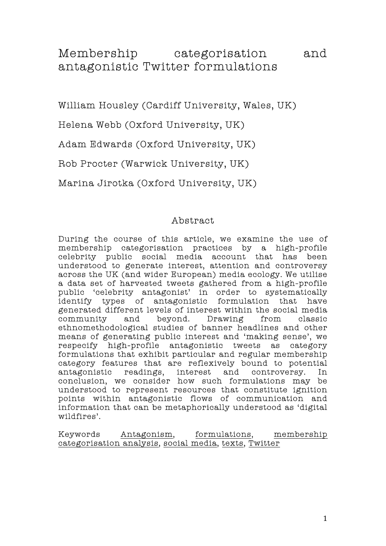# Membership categorisation and antagonistic Twitter formulations

William Housley (Cardiff University, Wales, UK)

Helena Webb (Oxford University, UK)

Adam Edwards (Oxford University, UK)

Rob Procter (Warwick University, UK)

Marina Jirotka (Oxford University, UK)

# Abstract

During the course of this article, we examine the use of membership categorisation practices by a high-profile celebrity public social media account that has been understood to generate interest, attention and controversy across the UK (and wider European) media ecology. We utilise a data set of harvested tweets gathered from a high-profile public 'celebrity antagonist' in order to systematically identify types of antagonistic formulation that have generated different levels of interest within the social media community and beyond. Drawing from classic ethnomethodological studies of banner headlines and other means of generating public interest and 'making sense', we respecify high-profile antagonistic tweets as category formulations that exhibit particular and regular membership category features that are reflexively bound to potential antagonistic readings, interest and controversy. In conclusion, we consider how such formulations may be understood to represent resources that constitute ignition points within antagonistic flows of communication and information that can be metaphorically understood as 'digital wildfires'.

Keywords Antagonism, formulations, membership categorisation analysis, social media, texts, Twitter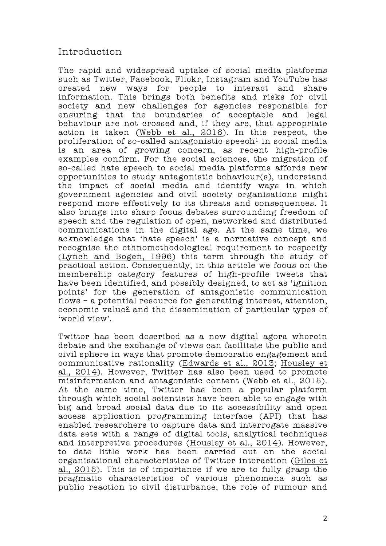# Introduction

The rapid and widespread uptake of social media platforms such as Twitter, Facebook, Flickr, Instagram and YouTube has created new ways for people to interact and share information. This brings both benefits and risks for civil society and new challenges for agencies responsible for ensuring that the boundaries of acceptable and legal behaviour are not crossed and, if they are, that appropriate action is taken (Webb et al., 2016). In this respect, the proliferation of so-called antagonistic speech<sup>1</sup> in social media is an area of growing concern, as recent high-profile examples confirm. For the social sciences, the migration of so-called hate speech to social media platforms affords new opportunities to study antagonistic behaviour(s), understand the impact of social media and identify ways in which government agencies and civil society organisations might respond more effectively to its threats and consequences. It also brings into sharp focus debates surrounding freedom of speech and the regulation of open, networked and distributed communications in the digital age. At the same time, we acknowledge that 'hate speech' is a normative concept and recognise the ethnomethodological requirement to respecify (Lynch and Bogen, 1996) this term through the study of practical action. Consequently, in this article we focus on the membership category features of high-profile tweets that have been identified, and possibly designed, to act as 'ignition points' for the generation of antagonistic communication flows – a potential resource for generating interest, attention, economic value2 and the dissemination of particular types of 'world view'.

Twitter has been described as a new digital agora wherein debate and the exchange of views can facilitate the public and civil sphere in ways that promote democratic engagement and communicative rationality (Edwards et al., 2013; Housley et al., 2014). However, Twitter has also been used to promote misinformation and antagonistic content (Webb et al., 2015). At the same time, Twitter has been a popular platform through which social scientists have been able to engage with big and broad social data due to its accessibility and open access application programming interface (API) that has enabled researchers to capture data and interrogate massive data sets with a range of digital tools, analytical techniques and interpretive procedures (Housley et al., 2014). However, to date little work has been carried out on the social organisational characteristics of Twitter interaction (Giles et al., 2015). This is of importance if we are to fully grasp the pragmatic characteristics of various phenomena such as public reaction to civil disturbance, the role of rumour and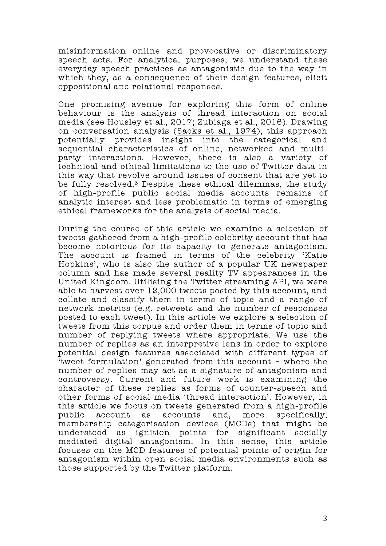misinformation online and provocative or discriminatory speech acts. For analytical purposes, we understand these everyday speech practices as antagonistic due to the way in which they, as a consequence of their design features, elicit oppositional and relational responses.

One promising avenue for exploring this form of online behaviour is the analysis of thread interaction on social media (see Housley et al., 2017; Zubiaga et al., 2016). Drawing on conversation analysis (Sacks et al., 1974), this approach potentially provides insight into the categorical and sequential characteristics of online, networked and multiparty interactions. However, there is also a variety of technical and ethical limitations to the use of Twitter data in this way that revolve around issues of consent that are yet to be fully resolved.<sup>3</sup> Despite these ethical dilemmas, the study of high-profile public social media accounts remains of analytic interest and less problematic in terms of emerging ethical frameworks for the analysis of social media.

During the course of this article we examine a selection of tweets gathered from a high-profile celebrity account that has become notorious for its capacity to generate antagonism. The account is framed in terms of the celebrity 'Katie Hopkins', who is also the author of a popular UK newspaper column and has made several reality TV appearances in the United Kingdom. Utilising the Twitter streaming API, we were able to harvest over 12,000 tweets posted by this account, and collate and classify them in terms of topic and a range of network metrics (e.g. retweets and the number of responses posted to each tweet). In this article we explore a selection of tweets from this corpus and order them in terms of topic and number of replying tweets where appropriate. We use the number of replies as an interpretive lens in order to explore potential design features associated with different types of 'tweet formulation' generated from this account – where the number of replies may act as a signature of antagonism and controversy. Current and future work is examining the character of these replies as forms of counter-speech and other forms of social media 'thread interaction'. However, in this article we focus on tweets generated from a high-profile public account as accounts and, more specifically, membership categorisation devices (MCDs) that might be understood as ignition points for significant socially mediated digital antagonism. In this sense, this article focuses on the MCD features of potential points of origin for antagonism within open social media environments such as those supported by the Twitter platform.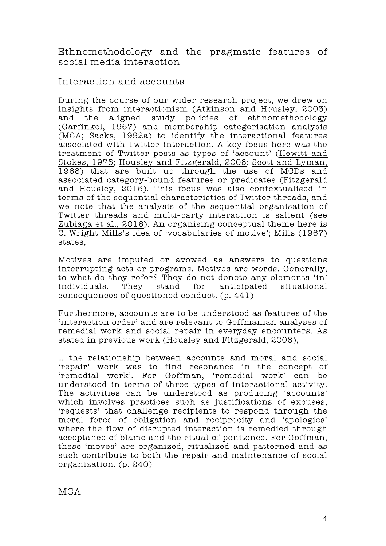Ethnomethodology and the pragmatic features of social media interaction

#### Interaction and accounts

During the course of our wider research project, we drew on insights from interactionism (Atkinson and Housley, 2003) and the aligned study policies of ethnomethodology (Garfinkel, 1967) and membership categorisation analysis (MCA; Sacks, 1992a) to identify the interactional features associated with Twitter interaction. A key focus here was the treatment of Twitter posts as types of 'account' (Hewitt and Stokes, 1975; Housley and Fitzgerald, 2008; Scott and Lyman, 1968) that are built up through the use of MCDs and associated category-bound features or predicates (Fitzgerald and Housley, 2015). This focus was also contextualised in terms of the sequential characteristics of Twitter threads, and we note that the analysis of the sequential organisation of Twitter threads and multi-party interaction is salient (see Zubiaga et al., 2016). An organising conceptual theme here is C. Wright Mills's idea of 'vocabularies of motive'; Mills (1967) states,

Motives are imputed or avowed as answers to questions interrupting acts or programs. Motives are words. Generally, to what do they refer? They do not denote any elements 'in' individuals. They stand for anticipated situational consequences of questioned conduct. (p. 441)

Furthermore, accounts are to be understood as features of the 'interaction order' and are relevant to Goffmanian analyses of remedial work and social repair in everyday encounters. As stated in previous work (Housley and Fitzgerald, 2008),

… the relationship between accounts and moral and social 'repair' work was to find resonance in the concept of 'remedial work'. For Goffman, 'remedial work' can be understood in terms of three types of interactional activity. The activities can be understood as producing 'accounts' which involves practices such as justifications of excuses, 'requests' that challenge recipients to respond through the moral force of obligation and reciprocity and 'apologies' where the flow of disrupted interaction is remedied through acceptance of blame and the ritual of penitence. For Goffman, these 'moves' are organized, ritualized and patterned and as such contribute to both the repair and maintenance of social organization. (p. 240)

MCA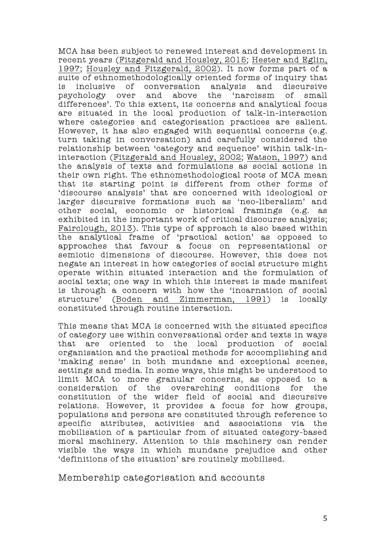MCA has been subject to renewed interest and development in recent years (Fitzgerald and Housley, 2015; Hester and Eglin, 1997; Housley and Fitzgerald, 2002). It now forms part of a suite of ethnomethodologically oriented forms of inquiry that is inclusive of conversation analysis and discursive psychology over and above the 'narcissm of small differences'. To this extent, its concerns and analytical focus are situated in the local production of talk-in-interaction where categories and categorisation practices are salient. However, it has also engaged with sequential concerns (e.g. turn taking in conversation) and carefully considered the relationship between 'category and sequence' within talk-ininteraction (Fitzgerald and Housley, 2002; Watson, 1997) and the analysis of texts and formulations as social actions in their own right. The ethnomethodological roots of MCA mean that its starting point is different from other forms of 'discourse analysis' that are concerned with ideological or larger discursive formations such as 'neo-liberalism' and other social, economic or historical framings (e.g. as exhibited in the important work of critical discourse analysis; Fairclough, 2013). This type of approach is also based within the analytical frame of 'practical action' as opposed to approaches that favour a focus on representational or semiotic dimensions of discourse. However, this does not negate an interest in how categories of social structure might operate within situated interaction and the formulation of social texts; one way in which this interest is made manifest is through a concern with how the 'incarnation of social structure' (Boden and Zimmerman, 1991) is locally constituted through routine interaction.

This means that MCA is concerned with the situated specifics of category use within conversational order and texts in ways that are oriented to the local production of social organisation and the practical methods for accomplishing and 'making sense' in both mundane and exceptional scenes, settings and media. In some ways, this might be understood to limit MCA to more granular concerns, as opposed to a consideration of the overarching conditions for the constitution of the wider field of social and discursive relations. However, it provides a focus for how groups, populations and persons are constituted through reference to specific attributes, activities and associations via the mobilisation of a particular from of situated category-based moral machinery. Attention to this machinery can render visible the ways in which mundane prejudice and other 'definitions of the situation' are routinely mobilised.

Membership categorisation and accounts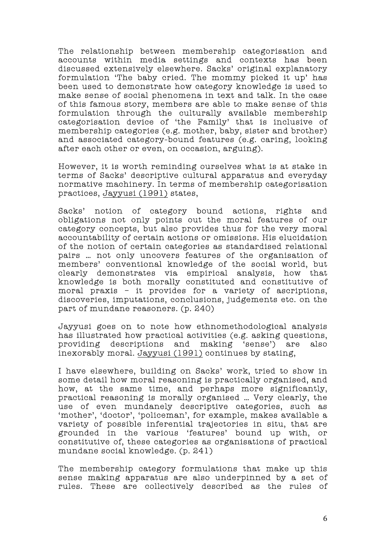The relationship between membership categorisation and accounts within media settings and contexts has been discussed extensively elsewhere. Sacks' original explanatory formulation 'The baby cried. The mommy picked it up' has been used to demonstrate how category knowledge is used to make sense of social phenomena in text and talk. In the case of this famous story, members are able to make sense of this formulation through the culturally available membership categorisation device of 'the Family' that is inclusive of membership categories (e.g. mother, baby, sister and brother) and associated category-bound features (e.g. caring, looking after each other or even, on occasion, arguing).

However, it is worth reminding ourselves what is at stake in terms of Sacks' descriptive cultural apparatus and everyday normative machinery. In terms of membership categorisation practices, Jayyusi (1991) states,

Sacks' notion of category bound actions, rights and obligations not only points out the moral features of our category concepts, but also provides thus for the very moral accountability of certain actions or omissions. His elucidation of the notion of certain categories as standardised relational pairs … not only uncovers features of the organisation of members' conventional knowledge of the social world, but clearly demonstrates via empirical analysis, how that knowledge is both morally constituted and constitutive of moral praxis – it provides for a variety of ascriptions, discoveries, imputations, conclusions, judgements etc. on the part of mundane reasoners. (p. 240)

Jayyusi goes on to note how ethnomethodological analysis has illustrated how practical activities (e.g. asking questions, providing descriptions and making 'sense') are also inexorably moral. Jayyusi (1991) continues by stating,

I have elsewhere, building on Sacks' work, tried to show in some detail how moral reasoning is practically organised, and how, at the same time, and perhaps more significantly, practical reasoning is morally organised … Very clearly, the use of even mundanely descriptive categories, such as 'mother', 'doctor', 'policeman', for example, makes available a variety of possible inferential trajectories in situ, that are grounded in the various 'features' bound up with, or constitutive of, these categories as organisations of practical mundane social knowledge. (p. 241)

The membership category formulations that make up this sense making apparatus are also underpinned by a set of rules. These are collectively described as the rules of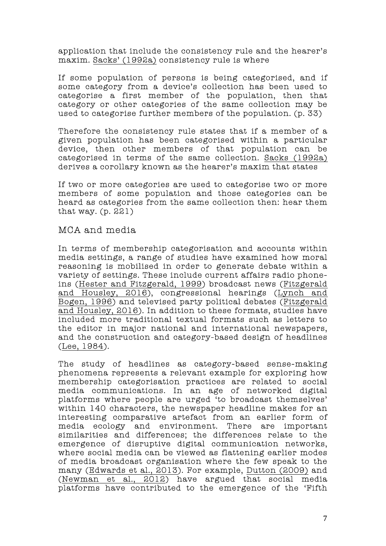application that include the consistency rule and the hearer's maxim. Sacks' (1992a) consistency rule is where

If some population of persons is being categorised, and if some category from a device's collection has been used to categorise a first member of the population, then that category or other categories of the same collection may be used to categorise further members of the population. (p. 33)

Therefore the consistency rule states that if a member of a given population has been categorised within a particular device, then other members of that population can be categorised in terms of the same collection. Sacks (1992a) derives a corollary known as the hearer's maxim that states

If two or more categories are used to categorise two or more members of some population and those categories can be heard as categories from the same collection then: hear them that way. (p. 221)

#### MCA and media

In terms of membership categorisation and accounts within media settings, a range of studies have examined how moral reasoning is mobilised in order to generate debate within a variety of settings. These include current affairs radio phoneins (Hester and Fitzgerald, 1999) broadcast news (Fitzgerald and Housley, 2016), congressional hearings (Lynch and Bogen, 1996) and televised party political debates (Fitzgerald and Housley, 2016). In addition to these formats, studies have included more traditional textual formats such as letters to the editor in major national and international newspapers, and the construction and category-based design of headlines (Lee, 1984).

The study of headlines as category-based sense-making phenomena represents a relevant example for exploring how membership categorisation practices are related to social media communications. In an age of networked digital platforms where people are urged 'to broadcast themselves' within 140 characters, the newspaper headline makes for an interesting comparative artefact from an earlier form of media ecology and environment. There are important similarities and differences; the differences relate to the emergence of disruptive digital communication networks, where social media can be viewed as flattening earlier modes of media broadcast organisation where the few speak to the many (Edwards et al., 2013). For example, Dutton (2009) and (Newman et al., 2012) have argued that social media platforms have contributed to the emergence of the 'Fifth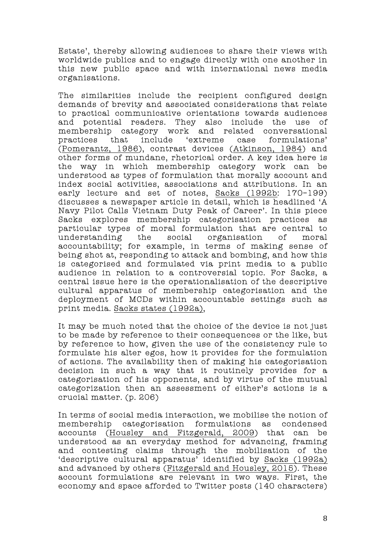Estate', thereby allowing audiences to share their views with worldwide publics and to engage directly with one another in this new public space and with international news media organisations.

The similarities include the recipient configured design demands of brevity and associated considerations that relate to practical communicative orientations towards audiences and potential readers. They also include the use of membership category work and related conversational practices that include 'extreme case formulations' (Pomerantz, 1986), contrast devices (Atkinson, 1984) and other forms of mundane, rhetorical order. A key idea here is the way in which membership category work can be understood as types of formulation that morally account and index social activities, associations and attributions. In an early lecture and set of notes, Sacks (1992b: 170–199) discusses a newspaper article in detail, which is headlined 'A Navy Pilot Calls Vietnam Duty Peak of Career'. In this piece Sacks explores membership categorisation practices as particular types of moral formulation that are central to understanding the social organisation of moral accountability; for example, in terms of making sense of being shot at, responding to attack and bombing, and how this is categorised and formulated via print media to a public audience in relation to a controversial topic. For Sacks, a central issue here is the operationalisation of the descriptive cultural apparatus of membership categorisation and the deployment of MCDs within accountable settings such as print media. Sacks states (1992a),

It may be much noted that the choice of the device is not just to be made by reference to their consequences or the like, but by reference to how, given the use of the consistency rule to formulate his alter egos, how it provides for the formulation of actions. The availability then of making his categorisation decision in such a way that it routinely provides for a categorisation of his opponents, and by virtue of the mutual categorization then an assessment of either's actions is a crucial matter. (p. 206)

In terms of social media interaction, we mobilise the notion of membership categorisation formulations as condensed accounts (Housley and Fitzgerald, 2009) that can be understood as an everyday method for advancing, framing and contesting claims through the mobilisation of the 'descriptive cultural apparatus' identified by Sacks (1992a) and advanced by others (Fitzgerald and Housley, 2015). These account formulations are relevant in two ways. First, the economy and space afforded to Twitter posts (140 characters)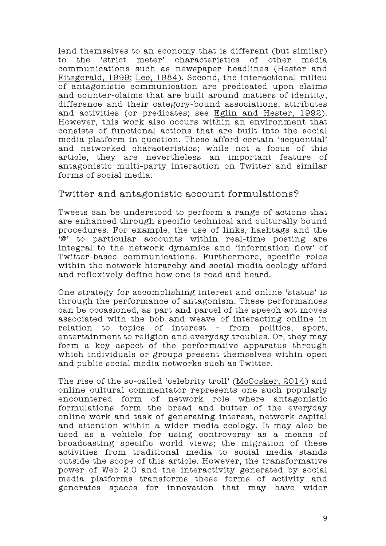lend themselves to an economy that is different (but similar) to the 'strict meter' characteristics of other media communications such as newspaper headlines (Hester and Fitzgerald, 1999; Lee, 1984). Second, the interactional milieu of antagonistic communication are predicated upon claims and counter-claims that are built around matters of identity, difference and their category-bound associations, attributes and activities (or predicates; see Eglin and Hester, 1992). However, this work also occurs within an environment that consists of functional actions that are built into the social media platform in question. These afford certain 'sequential' and networked characteristics; while not a focus of this article, they are nevertheless an important feature of antagonistic multi-party interaction on Twitter and similar forms of social media.

#### Twitter and antagonistic account formulations?

Tweets can be understood to perform a range of actions that are enhanced through specific technical and culturally bound procedures. For example, the use of links, hashtags and the '@' to particular accounts within real-time posting are integral to the network dynamics and 'information flow' of Twitter-based communications. Furthermore, specific roles within the network hierarchy and social media ecology afford and reflexively define how one is read and heard.

One strategy for accomplishing interest and online 'status' is through the performance of antagonism. These performances can be occasioned, as part and parcel of the speech act moves associated with the bob and weave of interacting online in relation to topics of interest – from politics, sport, entertainment to religion and everyday troubles. Or, they may form a key aspect of the performative apparatus through which individuals or groups present themselves within open and public social media networks such as Twitter.

The rise of the so-called 'celebrity troll' (McCosker, 2014) and online cultural commentator represents one such popularly encountered form of network role where antagonistic formulations form the bread and butter of the everyday online work and task of generating interest, network capital and attention within a wider media ecology. It may also be used as a vehicle for using controversy as a means of broadcasting specific world views; the migration of these activities from traditional media to social media stands outside the scope of this article. However, the transformative power of Web 2.0 and the interactivity generated by social media platforms transforms these forms of activity and generates spaces for innovation that may have wider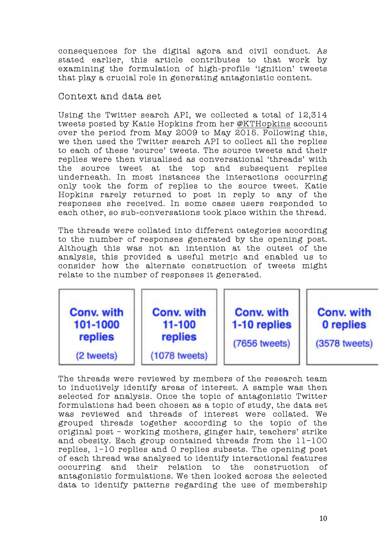consequences for the digital agora and civil conduct. As stated earlier, this article contributes to that work by examining the formulation of high-profile 'ignition' tweets that play a crucial role in generating antagonistic content.

#### Context and data set

Using the Twitter search API, we collected a total of 12,314 tweets posted by Katie Hopkins from her @KTHopkins account over the period from May 2009 to May 2015. Following this, we then used the Twitter search API to collect all the replies to each of these 'source' tweets. The source tweets and their replies were then visualised as conversational 'threads' with the source tweet at the top and subsequent replies underneath. In most instances the interactions occurring only took the form of replies to the source tweet. Katie Hopkins rarely returned to post in reply to any of the responses she received. In some cases users responded to each other, so sub-conversations took place within the thread.

The threads were collated into different categories according to the number of responses generated by the opening post. Although this was not an intention at the outset of the analysis, this provided a useful metric and enabled us to consider how the alternate construction of tweets might relate to the number of responses it generated.



The threads were reviewed by members of the research team to inductively identify areas of interest. A sample was then selected for analysis. Once the topic of antagonistic Twitter formulations had been chosen as a topic of study, the data set was reviewed and threads of interest were collated. We grouped threads together according to the topic of the original post – working mothers, ginger hair, teachers' strike and obesity. Each group contained threads from the 11–100 replies, 1–10 replies and 0 replies subsets. The opening post of each thread was analysed to identify interactional features occurring and their relation to the construction of antagonistic formulations. We then looked across the selected data to identify patterns regarding the use of membership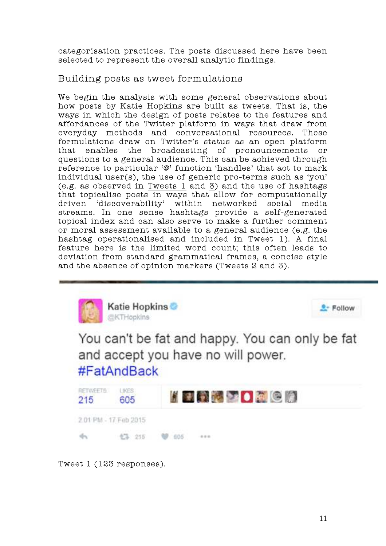categorisation practices. The posts discussed here have been selected to represent the overall analytic findings.

Building posts as tweet formulations

We begin the analysis with some general observations about how posts by Katie Hopkins are built as tweets. That is, the ways in which the design of posts relates to the features and affordances of the Twitter platform in ways that draw from everyday methods and conversational resources. These formulations draw on Twitter's status as an open platform that enables the broadcasting of pronouncements or questions to a general audience. This can be achieved through reference to particular '@' function 'handles' that act to mark individual user(s), the use of generic pro-terms such as 'you' (e.g. as observed in Tweets 1 and 3) and the use of hashtags that topicalise posts in ways that allow for computationally driven 'discoverability' within networked social media streams. In one sense hashtags provide a self-generated topical index and can also serve to make a further comment or moral assessment available to a general audience (e.g. the hashtag operationalised and included in Tweet 1). A final feature here is the limited word count; this often leads to deviation from standard grammatical frames, a concise style and the absence of opinion markers (Tweets 2 and 3).

|                       | Katie Hopkins<br><b>@KTHopkins</b> |                                                                                       | <b>P</b> Follow |
|-----------------------|------------------------------------|---------------------------------------------------------------------------------------|-----------------|
|                       | #FatAndBack                        | You can't be fat and happy. You can only be fat<br>and accept you have no will power. |                 |
|                       |                                    |                                                                                       |                 |
| RETWEETS<br>215       | LIKES<br>605                       | <b>MEDIANOR</b>                                                                       |                 |
| 2.01 PM - 17 Feb 2015 |                                    |                                                                                       |                 |

Tweet 1 (123 responses).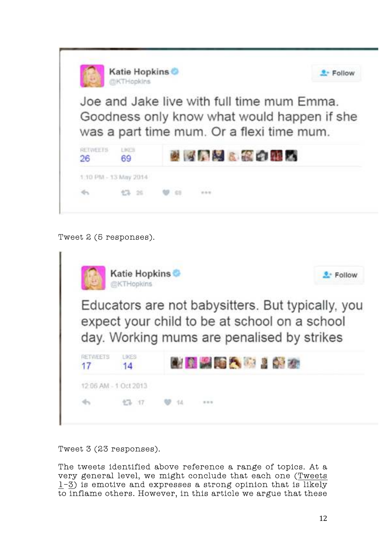

Tweet 2 (5 responses).

|                                     | Katie Hopkins<br>@KTHopkins |                                                                                                    | · Follow |
|-------------------------------------|-----------------------------|----------------------------------------------------------------------------------------------------|----------|
|                                     |                             | Educators are not babysitters. But typically, you<br>expect your child to be at school on a school |          |
|                                     |                             | day. Working mums are penalised by strikes                                                         |          |
| <b>RETWEETS</b><br>17 <sup>17</sup> | <b>EIKIES</b><br>14         | 图 网络阳天 的复数动                                                                                        |          |
| 12:06 AM - 1 Oct 2013               |                             |                                                                                                    |          |

Tweet 3 (23 responses).

The tweets identified above reference a range of topics. At a very general level, we might conclude that each one (Tweets 1–3) is emotive and expresses a strong opinion that is likely to inflame others. However, in this article we argue that these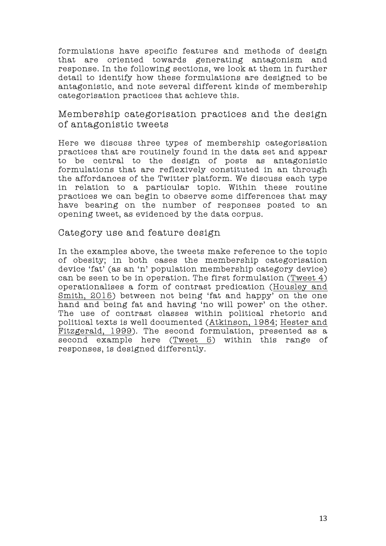formulations have specific features and methods of design that are oriented towards generating antagonism and response. In the following sections, we look at them in further detail to identify how these formulations are designed to be antagonistic, and note several different kinds of membership categorisation practices that achieve this.

Membership categorisation practices and the design of antagonistic tweets

Here we discuss three types of membership categorisation practices that are routinely found in the data set and appear to be central to the design of posts as antagonistic formulations that are reflexively constituted in an through the affordances of the Twitter platform. We discuss each type in relation to a particular topic. Within these routine practices we can begin to observe some differences that may have bearing on the number of responses posted to an opening tweet, as evidenced by the data corpus.

Category use and feature design

In the examples above, the tweets make reference to the topic of obesity; in both cases the membership categorisation device 'fat' (as an 'n' population membership category device) can be seen to be in operation. The first formulation (Tweet 4) operationalises a form of contrast predication (Housley and Smith, 2015) between not being 'fat and happy' on the one hand and being fat and having 'no will power' on the other. The use of contrast classes within political rhetoric and political texts is well documented (Atkinson, 1984; Hester and Fitzgerald, 1999). The second formulation, presented as a second example here (Tweet 5) within this range of responses, is designed differently.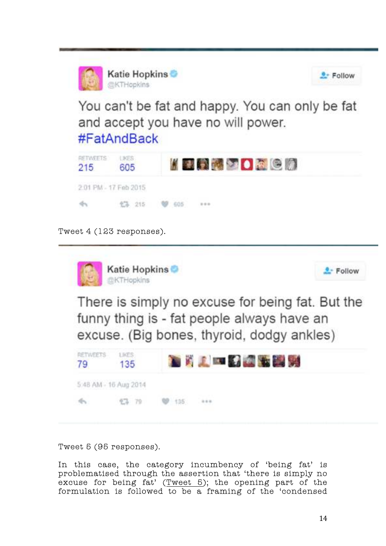



You can't be fat and happy. You can only be fat and accept you have no will power. #FatAndBack



Tweet 4 (123 responses).



Tweet 5 (95 responses).

In this case, the category incumbency of 'being fat' is problematised through the assertion that 'there is simply no excuse for being fat' (Tweet 5); the opening part of the formulation is followed to be a framing of the 'condensed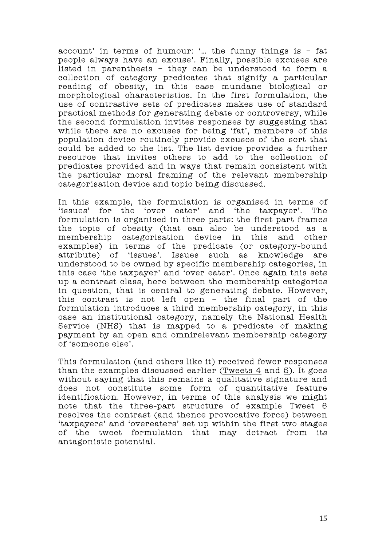account' in terms of humour: '… the funny things is – fat people always have an excuse'. Finally, possible excuses are listed in parenthesis – they can be understood to form a collection of category predicates that signify a particular reading of obesity, in this case mundane biological or morphological characteristics. In the first formulation, the use of contrastive sets of predicates makes use of standard practical methods for generating debate or controversy, while the second formulation invites responses by suggesting that while there are no excuses for being 'fat', members of this population device routinely provide excuses of the sort that could be added to the list. The list device provides a further resource that invites others to add to the collection of predicates provided and in ways that remain consistent with the particular moral framing of the relevant membership categorisation device and topic being discussed.

In this example, the formulation is organised in terms of 'issues' for the 'over eater' and 'the taxpayer'. The formulation is organised in three parts: the first part frames the topic of obesity (that can also be understood as a membership categorisation device in this and other examples) in terms of the predicate (or category-bound attribute) of 'issues'. Issues such as knowledge are understood to be owned by specific membership categories, in this case 'the taxpayer' and 'over eater'. Once again this sets up a contrast class, here between the membership categories in question, that is central to generating debate. However, this contrast is not left open – the final part of the formulation introduces a third membership category, in this case an institutional category, namely the National Health Service (NHS) that is mapped to a predicate of making payment by an open and omnirelevant membership category of 'someone else'.

This formulation (and others like it) received fewer responses than the examples discussed earlier (Tweets 4 and 5). It goes without saying that this remains a qualitative signature and does not constitute some form of quantitative feature identification. However, in terms of this analysis we might note that the three-part structure of example Tweet 6 resolves the contrast (and thence provocative force) between 'taxpayers' and 'overeaters' set up within the first two stages of the tweet formulation that may detract from its antagonistic potential.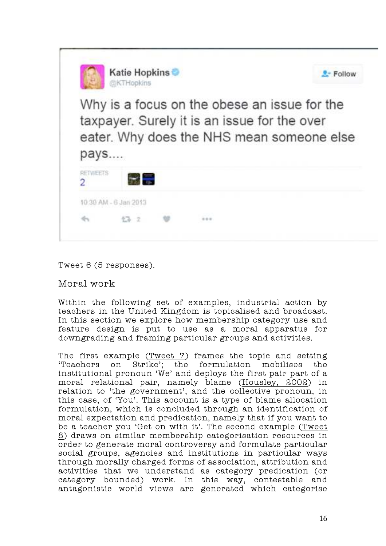

Tweet 6 (5 responses).

Moral work

Within the following set of examples, industrial action by teachers in the United Kingdom is topicalised and broadcast. In this section we explore how membership category use and feature design is put to use as a moral apparatus for downgrading and framing particular groups and activities.

The first example (Tweet 7) frames the topic and setting 'Teachers on Strike'; the formulation mobilises the institutional pronoun 'We' and deploys the first pair part of a moral relational pair, namely blame (Housley, 2002) in relation to 'the government', and the collective pronoun, in this case, of 'You'. This account is a type of blame allocation formulation, which is concluded through an identification of moral expectation and predication, namely that if you want to be a teacher you 'Get on with it'. The second example (Tweet 8) draws on similar membership categorisation resources in order to generate moral controversy and formulate particular social groups, agencies and institutions in particular ways through morally charged forms of association, attribution and activities that we understand as category predication (or category bounded) work. In this way, contestable and antagonistic world views are generated which categorise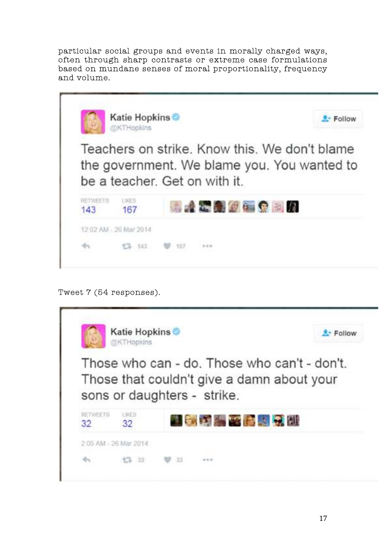particular social groups and events in morally charged ways, often through sharp contrasts or extreme case formulations based on mundane senses of moral proportionality, frequency and volume.

|                  | Katie Hopkins<br><b>@KTHopkins</b> |                                                                                              | $2 -$ Follow |
|------------------|------------------------------------|----------------------------------------------------------------------------------------------|--------------|
|                  |                                    | Teachers on strike. Know this, We don't blame<br>the government. We blame you. You wanted to |              |
|                  |                                    | be a teacher. Get on with it.                                                                |              |
| RETWEETS.<br>143 | <b>LIVES</b><br>167                | <b>MARAGEQUE</b>                                                                             |              |
|                  | 12:02 AM - 26 Mar 2014             |                                                                                              |              |

Tweet 7 (54 responses).

|                             | Katie Hopkins<br><b>EKTHopkins</b> |                                                | $E -$ Follow                                                                               |
|-----------------------------|------------------------------------|------------------------------------------------|--------------------------------------------------------------------------------------------|
|                             |                                    |                                                | Those who can - do. Those who can't - don't.<br>Those that couldn't give a damn about your |
|                             |                                    |                                                |                                                                                            |
| RETWEETS<br>32 <sup>2</sup> | <b>LIKES</b><br>32                 | sons or daughters - strike.<br><b>相称的 超商股票</b> |                                                                                            |
| 2.05 AM - 26 Mar 2014       |                                    |                                                |                                                                                            |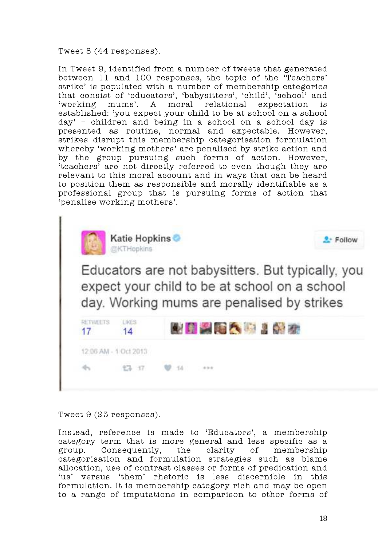Tweet 8 (44 responses).

In Tweet 9, identified from a number of tweets that generated between 11 and 100 responses, the topic of the 'Teachers' strike' is populated with a number of membership categories that consist of 'educators', 'babysitters', 'child', 'school' and 'working mums'. A moral relational expectation is established: 'you expect your child to be at school on a school day' – children and being in a school on a school day is presented as routine, normal and expectable. However, strikes disrupt this membership categorisation formulation whereby 'working mothers' are penalised by strike action and by the group pursuing such forms of action. However, 'teachers' are not directly referred to even though they are relevant to this moral account and in ways that can be heard to position them as responsible and morally identifiable as a professional group that is pursuing forms of action that 'penalise working mothers'.

|                       | Katie Hopkins<br>@KTHopkins |                                                                                                    | $\rightarrow$ Follow |
|-----------------------|-----------------------------|----------------------------------------------------------------------------------------------------|----------------------|
|                       |                             | Educators are not babysitters. But typically, you<br>expect your child to be at school on a school |                      |
|                       |                             | day. Working mums are penalised by strikes                                                         |                      |
| <b>RETWEETS</b><br>17 | LIKES<br>14                 | 11 日日日大学 3 前来                                                                                      |                      |
| 12:06 AM - 1 Oct 2013 |                             |                                                                                                    |                      |

Tweet 9 (23 responses).

Instead, reference is made to 'Educators', a membership category term that is more general and less specific as a group. Consequently, the clarity of membership categorisation and formulation strategies such as blame allocation, use of contrast classes or forms of predication and 'us' versus 'them' rhetoric is less discernible in this formulation. It is membership category rich and may be open to a range of imputations in comparison to other forms of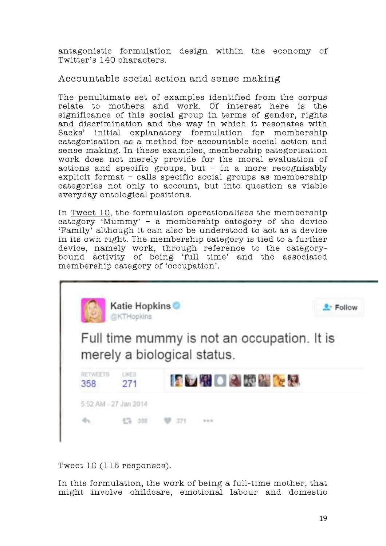antagonistic formulation design within the economy of Twitter's 140 characters.

# Accountable social action and sense making

The penultimate set of examples identified from the corpus relate to mothers and work. Of interest here is the significance of this social group in terms of gender, rights and discrimination and the way in which it resonates with Sacks' initial explanatory formulation for membership categorisation as a method for accountable social action and sense making. In these examples, membership categorisation work does not merely provide for the moral evaluation of actions and specific groups, but  $-$  in a more recognisably explicit format – calls specific social groups as membership categories not only to account, but into question as viable everyday ontological positions.

In Tweet 10, the formulation operationalises the membership category 'Mummy' – a membership category of the device 'Family' although it can also be understood to act as a device in its own right. The membership category is tied to a further device, namely work, through reference to the categorybound activity of being 'full time' and the associated membership category of 'occupation'.

|                       | Katie Hopkins<br><b>@KTHopkins</b> |                                                                            | <b>2- Follow</b> |
|-----------------------|------------------------------------|----------------------------------------------------------------------------|------------------|
|                       |                                    | Full time mummy is not an occupation. It is<br>merely a biological status. |                  |
|                       |                                    |                                                                            |                  |
| RETWEETS:<br>358      | LIGES<br>271                       | 日の間口を映すたね                                                                  |                  |
| 5:52 AM - 27 Jan 2014 |                                    |                                                                            |                  |

Tweet 10 (115 responses).

In this formulation, the work of being a full-time mother, that might involve childcare, emotional labour and domestic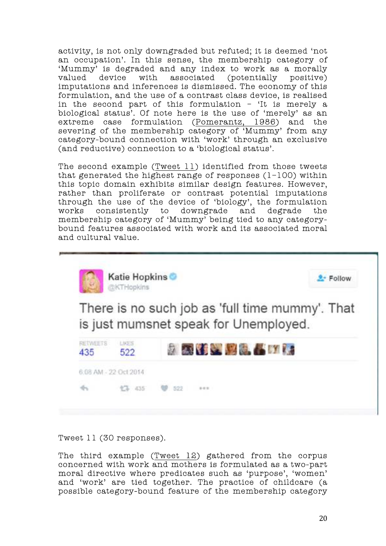activity, is not only downgraded but refuted; it is deemed 'not an occupation'. In this sense, the membership category of 'Mummy' is degraded and any index to work as a morally valued device with associated (potentially positive) imputations and inferences is dismissed. The economy of this formulation, and the use of a contrast class device, is realised in the second part of this formulation – 'It is merely a biological status'. Of note here is the use of 'merely' as an extreme case formulation (Pomerantz, 1986) and the severing of the membership category of 'Mummy' from any category-bound connection with 'work' through an exclusive (and reductive) connection to a 'biological status'.

The second example (Tweet 11) identified from those tweets that generated the highest range of responses (1–100) within this topic domain exhibits similar design features. However, rather than proliferate or contrast potential imputations through the use of the device of 'biology', the formulation works consistently to downgrade and degrade the membership category of 'Mummy' being tied to any categorybound features associated with work and its associated moral and cultural value.



### Tweet 11 (30 responses).

The third example (Tweet 12) gathered from the corpus concerned with work and mothers is formulated as a two-part moral directive where predicates such as 'purpose', 'women' and 'work' are tied together. The practice of childcare (a possible category-bound feature of the membership category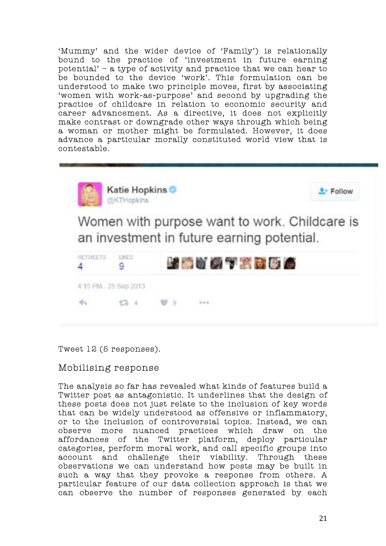'Mummy' and the wider device of 'Family') is relationally bound to the practice of 'investment in future earning potential' – a type of activity and practice that we can hear to be bounded to the device 'work'. This formulation can be understood to make two principle moves, first by associating 'women with work-as-purpose' and second by upgrading the practice of childcare in relation to economic security and career advancement. As a directive, it does not explicitly make contrast or downgrade other ways through which being a woman or mother might be formulated. However, it does advance a particular morally constituted world view that is contestable.



Tweet 12 (5 responses).

# Mobilising response

The analysis so far has revealed what kinds of features build a Twitter post as antagonistic. It underlines that the design of these posts does not just relate to the inclusion of key words that can be widely understood as offensive or inflammatory, or to the inclusion of controversial topics. Instead, we can observe more nuanced practices which draw on the affordances of the Twitter platform, deploy particular categories, perform moral work, and call specific groups into account and challenge their viability. Through these observations we can understand how posts may be built in such a way that they provoke a response from others. A particular feature of our data collection approach is that we can observe the number of responses generated by each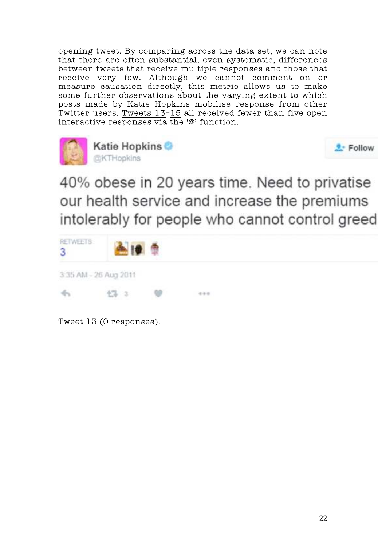opening tweet. By comparing across the data set, we can note that there are often substantial, even systematic, differences between tweets that receive multiple responses and those that receive very few. Although we cannot comment on or measure causation directly, this metric allows us to make some further observations about the varying extent to which posts made by Katie Hopkins mobilise response from other Twitter users. Tweets 13–15 all received fewer than five open interactive responses via the '@' function.





40% obese in 20 years time. Need to privatise our health service and increase the premiums intolerably for people who cannot control greed



Tweet 13 (0 responses).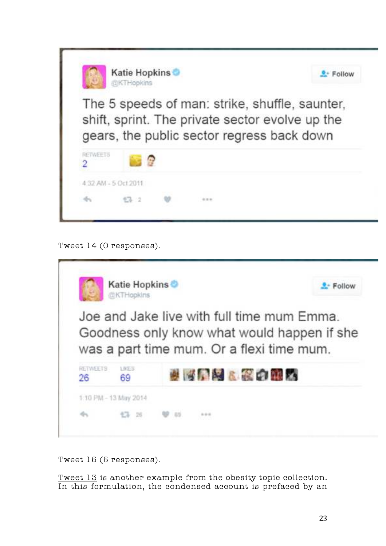

Tweet 14 (0 responses).

|                       | Katie Hopkins<br><b>EKTHopkins</b> |                                                                                           | <sup>e</sup> Follow |
|-----------------------|------------------------------------|-------------------------------------------------------------------------------------------|---------------------|
|                       |                                    | Joe and Jake live with full time mum Emma.<br>Goodness only know what would happen if she |                     |
|                       |                                    | was a part time mum. Or a flexi time mum.                                                 |                     |
| <b>RETWEETS</b><br>26 | 1923<br>69                         | <b>财政局网系统的跟踪</b>                                                                          |                     |
| 1:10 PM - 13 May 2014 |                                    |                                                                                           |                     |

Tweet 15 (5 responses).

Tweet 13 is another example from the obesity topic collection. In this formulation, the condensed account is prefaced by an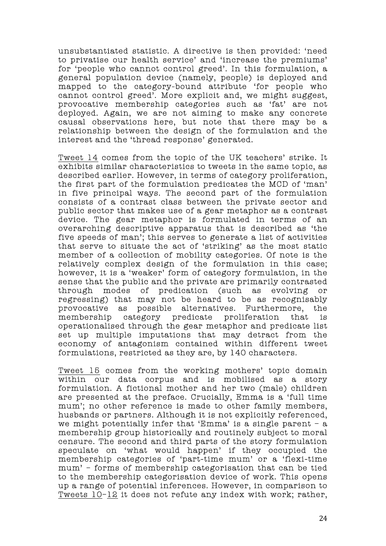unsubstantiated statistic. A directive is then provided: 'need to privatise our health service' and 'increase the premiums' for 'people who cannot control greed'. In this formulation, a general population device (namely, people) is deployed and mapped to the category-bound attribute 'for people who cannot control greed'. More explicit and, we might suggest, provocative membership categories such as 'fat' are not deployed. Again, we are not aiming to make any concrete causal observations here, but note that there may be a relationship between the design of the formulation and the interest and the 'thread response' generated.

Tweet 14 comes from the topic of the UK teachers' strike. It exhibits similar characteristics to tweets in the same topic, as described earlier. However, in terms of category proliferation, the first part of the formulation predicates the MCD of 'man' in five principal ways. The second part of the formulation consists of a contrast class between the private sector and public sector that makes use of a gear metaphor as a contrast device. The gear metaphor is formulated in terms of an overarching descriptive apparatus that is described as 'the five speeds of man'; this serves to generate a list of activities that serve to situate the act of 'striking' as the most static member of a collection of mobility categories. Of note is the relatively complex design of the formulation in this case; however, it is a 'weaker' form of category formulation, in the sense that the public and the private are primarily contrasted through modes of predication (such as evolving or regressing) that may not be heard to be as recognisably provocative as possible alternatives. Furthermore, the membership category predicate proliferation that is operationalised through the gear metaphor and predicate list set up multiple imputations that may detract from the economy of antagonism contained within different tweet formulations, restricted as they are, by 140 characters.

Tweet 15 comes from the working mothers' topic domain within our data corpus and is mobilised as a story formulation. A fictional mother and her two (male) children are presented at the preface. Crucially, Emma is a 'full time mum'; no other reference is made to other family members, husbands or partners. Although it is not explicitly referenced, we might potentially infer that 'Emma' is a single parent  $-$  a membership group historically and routinely subject to moral censure. The second and third parts of the story formulation speculate on 'what would happen' if they occupied the membership categories of 'part-time mum' or a 'flexi-time mum' – forms of membership categorisation that can be tied to the membership categorisation device of work. This opens up a range of potential inferences. However, in comparison to Tweets 10–12 it does not refute any index with work; rather,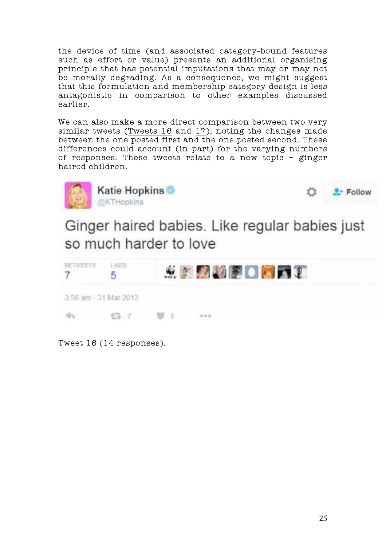the device of time (and associated category-bound features such as effort or value) presents an additional organising principle that has potential imputations that may or may not be morally degrading. As a consequence, we might suggest that this formulation and membership category design is less antagonistic in comparison to other examples discussed earlier.

We can also make a more direct comparison between two very similar tweets (Tweets 16 and 17), noting the changes made between the one posted first and the one posted second. These differences could account (in part) for the varying numbers of responses. These tweets relate to a new topic – ginger haired children.





Ginger haired babies. Like regular babies just so much harder to love



Tweet 16 (14 responses).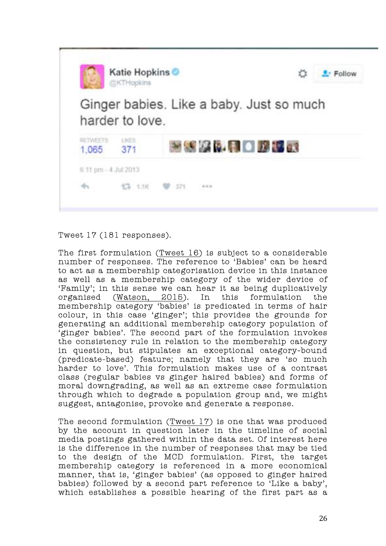

Tweet 17 (181 responses).

The first formulation (Tweet 16) is subject to a considerable number of responses. The reference to 'Babies' can be heard to act as a membership categorisation device in this instance as well as a membership category of the wider device of 'Family'; in this sense we can hear it as being duplicatively organised (Watson, 2015). In this formulation the membership category 'babies' is predicated in terms of hair colour, in this case 'ginger'; this provides the grounds for generating an additional membership category population of 'ginger babies'. The second part of the formulation invokes the consistency rule in relation to the membership category in question, but stipulates an exceptional category-bound (predicate-based) feature; namely that they are 'so much harder to love'. This formulation makes use of a contrast class (regular babies vs ginger haired babies) and forms of moral downgrading, as well as an extreme case formulation through which to degrade a population group and, we might suggest, antagonise, provoke and generate a response.

The second formulation (Tweet 17) is one that was produced by the account in question later in the timeline of social media postings gathered within the data set. Of interest here is the difference in the number of responses that may be tied to the design of the MCD formulation. First, the target membership category is referenced in a more economical manner, that is, 'ginger babies' (as opposed to ginger haired babies) followed by a second part reference to 'Like a baby', which establishes a possible hearing of the first part as a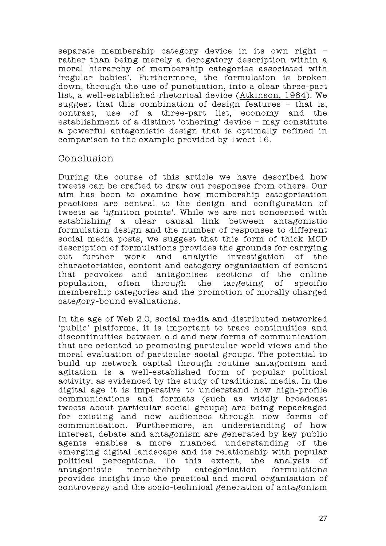separate membership category device in its own right – rather than being merely a derogatory description within a moral hierarchy of membership categories associated with 'regular babies'. Furthermore, the formulation is broken down, through the use of punctuation, into a clear three-part list, a well-established rhetorical device (Atkinson, 1984). We suggest that this combination of design features – that is, contrast, use of a three-part list, economy and the establishment of a distinct 'othering' device – may constitute a powerful antagonistic design that is optimally refined in comparison to the example provided by Tweet 16.

# Conclusion

During the course of this article we have described how tweets can be crafted to draw out responses from others. Our aim has been to examine how membership categorisation practices are central to the design and configuration of tweets as 'ignition points'. While we are not concerned with establishing a clear causal link between antagonistic formulation design and the number of responses to different social media posts, we suggest that this form of thick MCD description of formulations provides the grounds for carrying out further work and analytic investigation of the characteristics, content and category organisation of content that provokes and antagonises sections of the online population, often through the targeting of specific membership categories and the promotion of morally charged category-bound evaluations.

In the age of Web 2.0, social media and distributed networked 'public' platforms, it is important to trace continuities and discontinuities between old and new forms of communication that are oriented to promoting particular world views and the moral evaluation of particular social groups. The potential to build up network capital through routine antagonism and agitation is a well-established form of popular political activity, as evidenced by the study of traditional media. In the digital age it is imperative to understand how high-profile communications and formats (such as widely broadcast tweets about particular social groups) are being repackaged for existing and new audiences through new forms of communication. Furthermore, an understanding of how interest, debate and antagonism are generated by key public agents enables a more nuanced understanding of the emerging digital landscape and its relationship with popular political perceptions. To this extent, the analysis of antagonistic membership categorisation formulations provides insight into the practical and moral organisation of controversy and the socio-technical generation of antagonism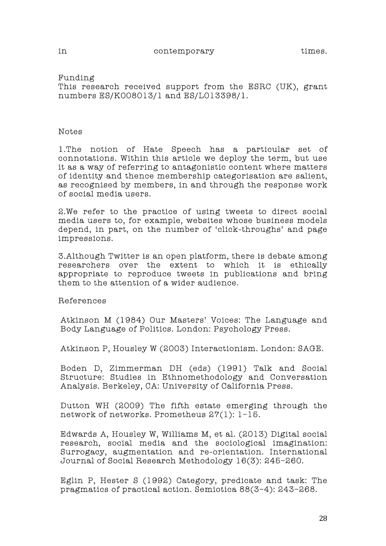#### Funding

This research received support from the ESRC (UK), grant numbers ES/K008013/1 and ES/L013398/1.

#### **Notes**

1.The notion of Hate Speech has a particular set of connotations. Within this article we deploy the term, but use it as a way of referring to antagonistic content where matters of identity and thence membership categorisation are salient, as recognised by members, in and through the response work of social media users.

2.We refer to the practice of using tweets to direct social media users to, for example, websites whose business models depend, in part, on the number of 'click-throughs' and page impressions.

3.Although Twitter is an open platform, there is debate among researchers over the extent to which it is ethically appropriate to reproduce tweets in publications and bring them to the attention of a wider audience.

References

 Body Language of Politics. London: Psychology Press. Atkinson M (1984) Our Masters' Voices: The Language and

Atkinson P, Housley W (2003) Interactionism. London: SAGE.

 Analysis. Berkeley, CA: University of California Press. Boden D, Zimmerman DH (eds) (1991) Talk and Social Structure: Studies in Ethnomethodology and Conversation

 network of networks. Prometheus 27(1): 1–15. Dutton WH (2009) The fifth estate emerging through the

 Journal of Social Research Methodology 16(3): 245–260. Edwards A, Housley W, Williams M, et al. (2013) Digital social research, social media and the sociological imagination: Surrogacy, augmentation and re-orientation. International

 pragmatics of practical action. Semiotica 88(3–4): 243–268. Eglin P, Hester S (1992) Category, predicate and task: The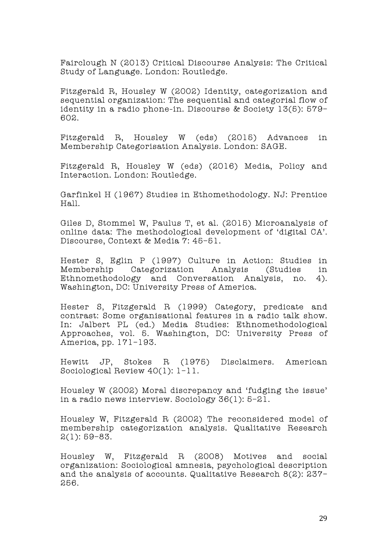Study of Language. London: Routledge. Fairclough N (2013) Critical Discourse Analysis: The Critical

 602. Fitzgerald R, Housley W (2002) Identity, categorization and sequential organization: The sequential and categorial flow of identity in a radio phone-in. Discourse & Society 13(5): 579–

Fitzgerald R, Housley W (eds) (2015) Advances in Membership Categorisation Analysis. London: SAGE.

Fitzgerald R, Housley W (eds) (2016) Media, Policy and Interaction. London: Routledge.

Garfinkel H (1967) Studies in Ethomethodology. NJ: Prentice Hall.

 Discourse, Context & Media 7: 45–51. Giles D, Stommel W, Paulus T, et al. (2015) Microanalysis of online data: The methodological development of 'digital CA'.

 Washington, DC: University Press of America. Hester S, Eglin P (1997) Culture in Action: Studies in Membership Categorization Analysis (Studies in Ethnomethodology and Conversation Analysis, no. 4).

 Approaches, vol. 5. Washington, DC: University Press of Hester S, Fitzgerald R (1999) Category, predicate and contrast: Some organisational features in a radio talk show. In: Jalbert PL (ed.) Media Studies: Ethnomethodological America, pp. 171–193.

 Sociological Review 40(1): 1–11. Hewitt JP, Stokes R (1975) Disclaimers. American

 in a radio news interview. Sociology 36(1): 5–21. Housley W (2002) Moral discrepancy and 'fudging the issue'

 2(1): 59–83. Housley W, Fitzgerald R (2002) The reconsidered model of membership categorization analysis. Qualitative Research

 $\frac{\text{and}}{256}$ . Housley W, Fitzgerald R (2008) Motives and social organization: Sociological amnesia, psychological description and the analysis of accounts. Qualitative Research 8(2): 237–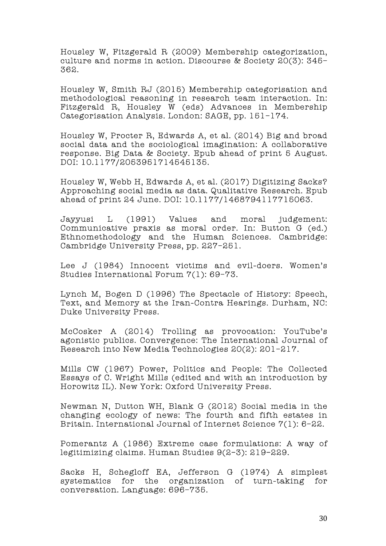362. Housley W, Fitzgerald R (2009) Membership categorization, culture and norms in action. Discourse & Society 20(3): 345–

 Categorisation Analysis. London: SAGE, pp. 151–174. Housley W, Smith RJ (2015) Membership categorisation and methodological reasoning in research team interaction. In: Fitzgerald R, Housley W (eds) Advances in Membership

 DOI: 10.1177/2053951714545135. Housley W, Procter R, Edwards A, et al. (2014) Big and broad social data and the sociological imagination: A collaborative response. Big Data & Society. Epub ahead of print 5 August.

 ahead of print 24 June. DOI: 10.1177/1468794117715063. Housley W, Webb H, Edwards A, et al. (2017) Digitizing Sacks? Approaching social media as data. Qualitative Research. Epub

 Cambridge University Press, pp. 227–251. Jayyusi L (1991) Values and moral judgement: Communicative praxis as moral order. In: Button G (ed.) Ethnomethodology and the Human Sciences. Cambridge:

Lee J (1984) Innocent victims and evil-doers. Women's Studies International Forum 7(1): 69–73.

 Duke University Press. Lynch M, Bogen D (1996) The Spectacle of History: Speech, Text, and Memory at the Iran-Contra Hearings. Durham, NC:

 Research into New Media Technologies 20(2): 201–217. McCosker A (2014) Trolling as provocation: YouTube's agonistic publics. Convergence: The International Journal of

 Horowitz IL). New York: Oxford University Press. Mills CW (1967) Power, Politics and People: The Collected Essays of C. Wright Mills (edited and with an introduction by

 Britain. International Journal of Internet Science 7(1): 6–22. Newman N, Dutton WH, Blank G (2012) Social media in the changing ecology of news: The fourth and fifth estates in

 legitimizing claims. Human Studies 9(2–3): 219–229. Pomerantz A (1986) Extreme case formulations: A way of

 conversation. Language: 696–735. Sacks H, Schegloff EA, Jefferson G (1974) A simplest systematics for the organization of turn-taking for